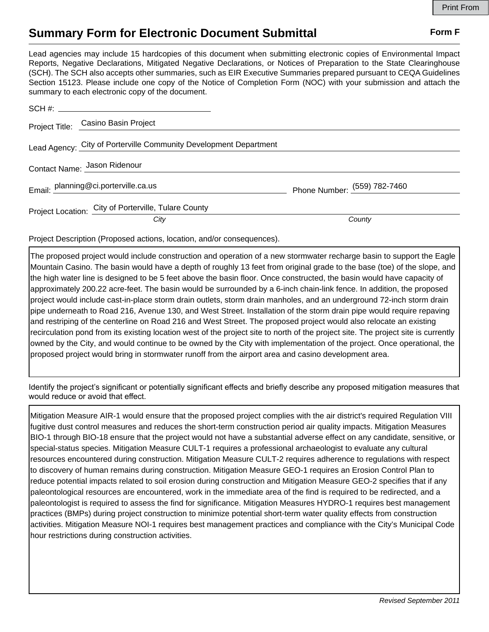## **Summary Form for Electronic Document Submittal Form F Form F**

Lead agencies may include 15 hardcopies of this document when submitting electronic copies of Environmental Impact Reports, Negative Declarations, Mitigated Negative Declarations, or Notices of Preparation to the State Clearinghouse (SCH). The SCH also accepts other summaries, such as EIR Executive Summaries prepared pursuant to CEQA Guidelines Section 15123. Please include one copy of the Notice of Completion Form (NOC) with your submission and attach the summary to each electronic copy of the document.

|                              | Project Title: Casino Basin Project                               |                              |
|------------------------------|-------------------------------------------------------------------|------------------------------|
|                              | Lead Agency: City of Porterville Community Development Department |                              |
| Contact Name: Jason Ridenour |                                                                   |                              |
|                              | Email: planning@ci.porterville.ca.us                              | Phone Number: (559) 782-7460 |
|                              | Project Location: City of Porterville, Tulare County              |                              |
|                              | City                                                              | County                       |

Project Description (Proposed actions, location, and/or consequences).

The proposed project would include construction and operation of a new stormwater recharge basin to support the Eagle Mountain Casino. The basin would have a depth of roughly 13 feet from original grade to the base (toe) of the slope, and the high water line is designed to be 5 feet above the basin floor. Once constructed, the basin would have capacity of approximately 200.22 acre-feet. The basin would be surrounded by a 6-inch chain-link fence. In addition, the proposed project would include cast-in-place storm drain outlets, storm drain manholes, and an underground 72-inch storm drain pipe underneath to Road 216, Avenue 130, and West Street. Installation of the storm drain pipe would require repaving and restriping of the centerline on Road 216 and West Street. The proposed project would also relocate an existing recirculation pond from its existing location west of the project site to north of the project site. The project site is currently owned by the City, and would continue to be owned by the City with implementation of the project. Once operational, the proposed project would bring in stormwater runoff from the airport area and casino development area.

Identify the project's significant or potentially significant effects and briefly describe any proposed mitigation measures that would reduce or avoid that effect.

Mitigation Measure AIR-1 would ensure that the proposed project complies with the air district's required Regulation VIII fugitive dust control measures and reduces the short-term construction period air quality impacts. Mitigation Measures BIO-1 through BIO-18 ensure that the project would not have a substantial adverse effect on any candidate, sensitive, or special-status species. Mitigation Measure CULT-1 requires a professional archaeologist to evaluate any cultural resources encountered during construction. Mitigation Measure CULT-2 requires adherence to regulations with respect to discovery of human remains during construction. Mitigation Measure GEO-1 requires an Erosion Control Plan to reduce potential impacts related to soil erosion during construction and Mitigation Measure GEO-2 specifies that if any paleontological resources are encountered, work in the immediate area of the find is required to be redirected, and a paleontologist is required to assess the find for significance. Mitigation Measures HYDRO-1 requires best management practices (BMPs) during project construction to minimize potential short-term water quality effects from construction activities. Mitigation Measure NOI-1 requires best management practices and compliance with the City's Municipal Code hour restrictions during construction activities.